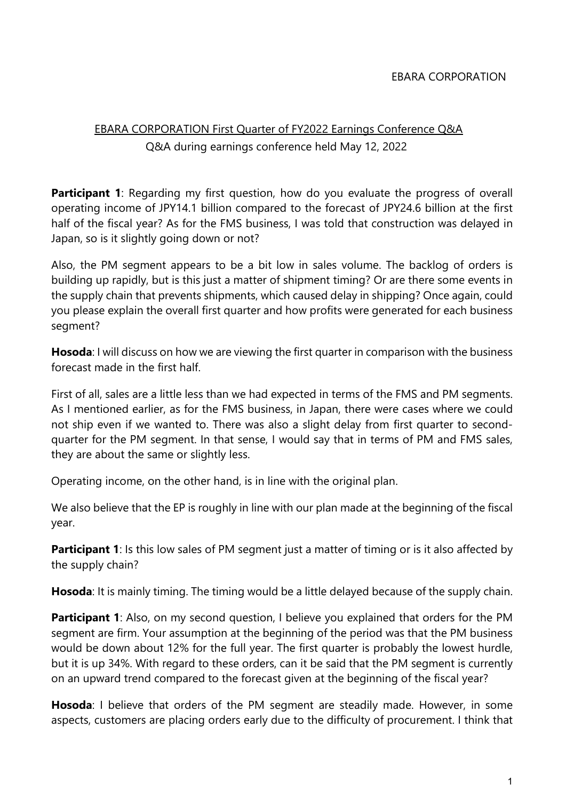## EBARA CORPORATION First Quarter of FY2022 Earnings Conference Q&A Q&A during earnings conference held May 12, 2022

**Participant 1:** Regarding my first question, how do you evaluate the progress of overall operating income of JPY14.1 billion compared to the forecast of JPY24.6 billion at the first half of the fiscal year? As for the FMS business, I was told that construction was delayed in Japan, so is it slightly going down or not?

Also, the PM segment appears to be a bit low in sales volume. The backlog of orders is building up rapidly, but is this just a matter of shipment timing? Or are there some events in the supply chain that prevents shipments, which caused delay in shipping? Once again, could you please explain the overall first quarter and how profits were generated for each business segment?

**Hosoda**: I will discuss on how we are viewing the first quarter in comparison with the business forecast made in the first half.

First of all, sales are a little less than we had expected in terms of the FMS and PM segments. As I mentioned earlier, as for the FMS business, in Japan, there were cases where we could not ship even if we wanted to. There was also a slight delay from first quarter to secondquarter for the PM segment. In that sense, I would say that in terms of PM and FMS sales, they are about the same or slightly less.

Operating income, on the other hand, is in line with the original plan.

We also believe that the EP is roughly in line with our plan made at the beginning of the fiscal year.

**Participant 1**: Is this low sales of PM segment just a matter of timing or is it also affected by the supply chain?

**Hosoda**: It is mainly timing. The timing would be a little delayed because of the supply chain.

**Participant 1**: Also, on my second question, I believe you explained that orders for the PM segment are firm. Your assumption at the beginning of the period was that the PM business would be down about 12% for the full year. The first quarter is probably the lowest hurdle, but it is up 34%. With regard to these orders, can it be said that the PM segment is currently on an upward trend compared to the forecast given at the beginning of the fiscal year?

**Hosoda**: I believe that orders of the PM segment are steadily made. However, in some aspects, customers are placing orders early due to the difficulty of procurement. I think that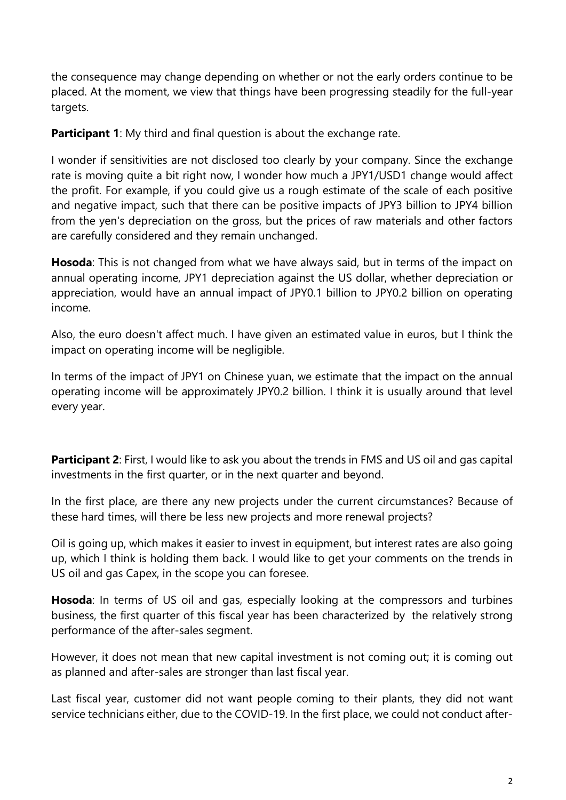the consequence may change depending on whether or not the early orders continue to be placed. At the moment, we view that things have been progressing steadily for the full-year targets.

**Participant 1:** My third and final question is about the exchange rate.

I wonder if sensitivities are not disclosed too clearly by your company. Since the exchange rate is moving quite a bit right now, I wonder how much a JPY1/USD1 change would affect the profit. For example, if you could give us a rough estimate of the scale of each positive and negative impact, such that there can be positive impacts of JPY3 billion to JPY4 billion from the yen's depreciation on the gross, but the prices of raw materials and other factors are carefully considered and they remain unchanged.

**Hosoda**: This is not changed from what we have always said, but in terms of the impact on annual operating income, JPY1 depreciation against the US dollar, whether depreciation or appreciation, would have an annual impact of JPY0.1 billion to JPY0.2 billion on operating income.

Also, the euro doesn't affect much. I have given an estimated value in euros, but I think the impact on operating income will be negligible.

In terms of the impact of JPY1 on Chinese yuan, we estimate that the impact on the annual operating income will be approximately JPY0.2 billion. I think it is usually around that level every year.

**Participant 2:** First, I would like to ask you about the trends in FMS and US oil and gas capital investments in the first quarter, or in the next quarter and beyond.

In the first place, are there any new projects under the current circumstances? Because of these hard times, will there be less new projects and more renewal projects?

Oil is going up, which makes it easier to invest in equipment, but interest rates are also going up, which I think is holding them back. I would like to get your comments on the trends in US oil and gas Capex, in the scope you can foresee.

**Hosoda**: In terms of US oil and gas, especially looking at the compressors and turbines business, the first quarter of this fiscal year has been characterized by the relatively strong performance of the after-sales segment.

However, it does not mean that new capital investment is not coming out; it is coming out as planned and after-sales are stronger than last fiscal year.

Last fiscal year, customer did not want people coming to their plants, they did not want service technicians either, due to the COVID-19. In the first place, we could not conduct after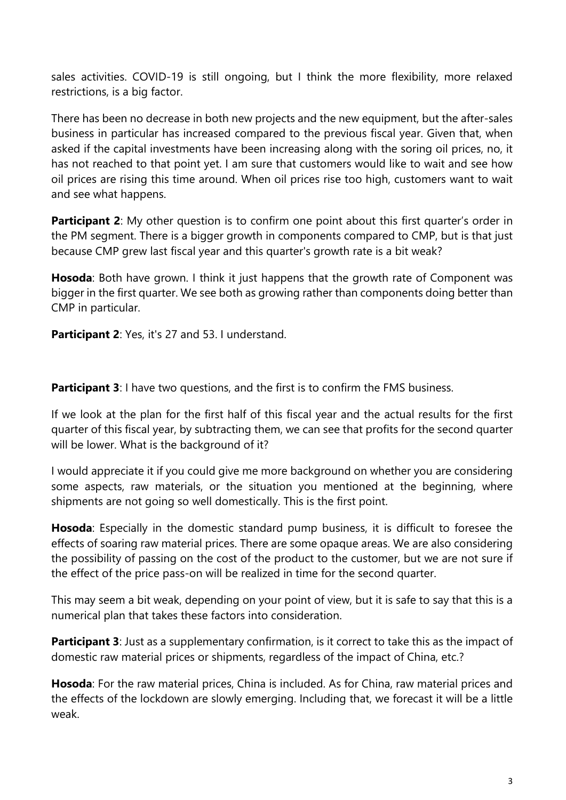sales activities. COVID-19 is still ongoing, but I think the more flexibility, more relaxed restrictions, is a big factor.

There has been no decrease in both new projects and the new equipment, but the after-sales business in particular has increased compared to the previous fiscal year. Given that, when asked if the capital investments have been increasing along with the soring oil prices, no, it has not reached to that point yet. I am sure that customers would like to wait and see how oil prices are rising this time around. When oil prices rise too high, customers want to wait and see what happens.

**Participant 2:** My other question is to confirm one point about this first quarter's order in the PM segment. There is a bigger growth in components compared to CMP, but is that just because CMP grew last fiscal year and this quarter's growth rate is a bit weak?

**Hosoda**: Both have grown. I think it just happens that the growth rate of Component was bigger in the first quarter. We see both as growing rather than components doing better than CMP in particular.

**Participant 2**: Yes, it's 27 and 53. I understand.

**Participant 3**: I have two questions, and the first is to confirm the FMS business.

If we look at the plan for the first half of this fiscal year and the actual results for the first quarter of this fiscal year, by subtracting them, we can see that profits for the second quarter will be lower. What is the background of it?

I would appreciate it if you could give me more background on whether you are considering some aspects, raw materials, or the situation you mentioned at the beginning, where shipments are not going so well domestically. This is the first point.

**Hosoda**: Especially in the domestic standard pump business, it is difficult to foresee the effects of soaring raw material prices. There are some opaque areas. We are also considering the possibility of passing on the cost of the product to the customer, but we are not sure if the effect of the price pass-on will be realized in time for the second quarter.

This may seem a bit weak, depending on your point of view, but it is safe to say that this is a numerical plan that takes these factors into consideration.

**Participant 3**: Just as a supplementary confirmation, is it correct to take this as the impact of domestic raw material prices or shipments, regardless of the impact of China, etc.?

**Hosoda**: For the raw material prices, China is included. As for China, raw material prices and the effects of the lockdown are slowly emerging. Including that, we forecast it will be a little weak.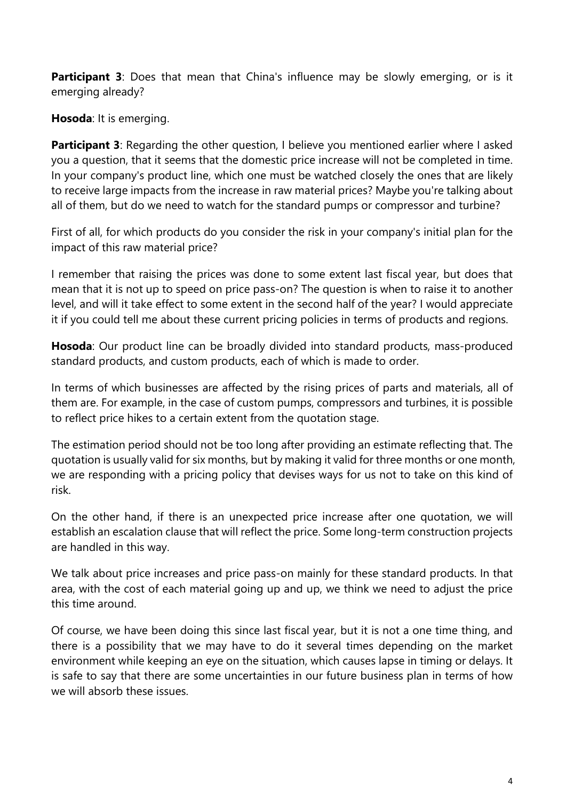**Participant 3**: Does that mean that China's influence may be slowly emerging, or is it emerging already?

**Hosoda**: It is emerging.

**Participant 3**: Regarding the other question, I believe you mentioned earlier where I asked you a question, that it seems that the domestic price increase will not be completed in time. In your company's product line, which one must be watched closely the ones that are likely to receive large impacts from the increase in raw material prices? Maybe you're talking about all of them, but do we need to watch for the standard pumps or compressor and turbine?

First of all, for which products do you consider the risk in your company's initial plan for the impact of this raw material price?

I remember that raising the prices was done to some extent last fiscal year, but does that mean that it is not up to speed on price pass-on? The question is when to raise it to another level, and will it take effect to some extent in the second half of the year? I would appreciate it if you could tell me about these current pricing policies in terms of products and regions.

**Hosoda**: Our product line can be broadly divided into standard products, mass-produced standard products, and custom products, each of which is made to order.

In terms of which businesses are affected by the rising prices of parts and materials, all of them are. For example, in the case of custom pumps, compressors and turbines, it is possible to reflect price hikes to a certain extent from the quotation stage.

The estimation period should not be too long after providing an estimate reflecting that. The quotation is usually valid for six months, but by making it valid for three months or one month, we are responding with a pricing policy that devises ways for us not to take on this kind of risk.

On the other hand, if there is an unexpected price increase after one quotation, we will establish an escalation clause that will reflect the price. Some long-term construction projects are handled in this way.

We talk about price increases and price pass-on mainly for these standard products. In that area, with the cost of each material going up and up, we think we need to adjust the price this time around.

Of course, we have been doing this since last fiscal year, but it is not a one time thing, and there is a possibility that we may have to do it several times depending on the market environment while keeping an eye on the situation, which causes lapse in timing or delays. It is safe to say that there are some uncertainties in our future business plan in terms of how we will absorb these issues.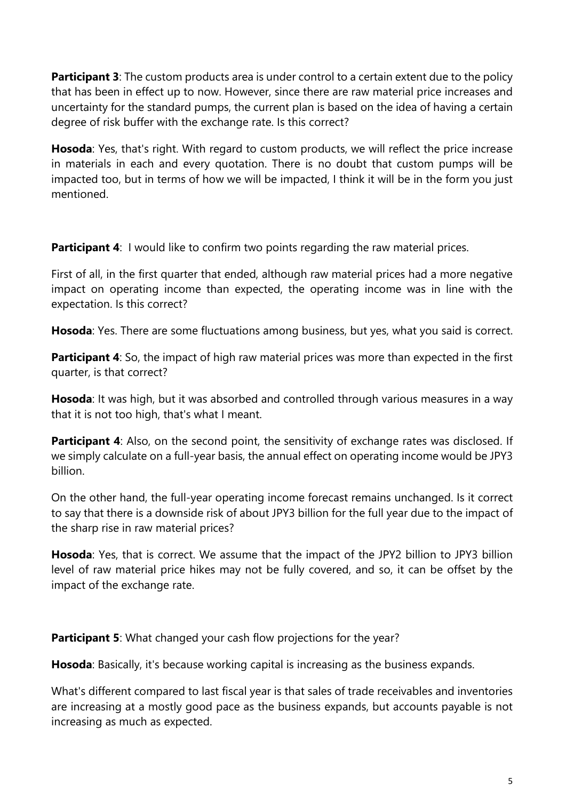**Participant 3**: The custom products area is under control to a certain extent due to the policy that has been in effect up to now. However, since there are raw material price increases and uncertainty for the standard pumps, the current plan is based on the idea of having a certain degree of risk buffer with the exchange rate. Is this correct?

**Hosoda**: Yes, that's right. With regard to custom products, we will reflect the price increase in materials in each and every quotation. There is no doubt that custom pumps will be impacted too, but in terms of how we will be impacted, I think it will be in the form you just mentioned.

**Participant 4:** I would like to confirm two points regarding the raw material prices.

First of all, in the first quarter that ended, although raw material prices had a more negative impact on operating income than expected, the operating income was in line with the expectation. Is this correct?

**Hosoda**: Yes. There are some fluctuations among business, but yes, what you said is correct.

**Participant 4**: So, the impact of high raw material prices was more than expected in the first quarter, is that correct?

**Hosoda**: It was high, but it was absorbed and controlled through various measures in a way that it is not too high, that's what I meant.

**Participant 4**: Also, on the second point, the sensitivity of exchange rates was disclosed. If we simply calculate on a full-year basis, the annual effect on operating income would be JPY3 billion.

On the other hand, the full-year operating income forecast remains unchanged. Is it correct to say that there is a downside risk of about JPY3 billion for the full year due to the impact of the sharp rise in raw material prices?

**Hosoda**: Yes, that is correct. We assume that the impact of the JPY2 billion to JPY3 billion level of raw material price hikes may not be fully covered, and so, it can be offset by the impact of the exchange rate.

**Participant 5**: What changed your cash flow projections for the year?

**Hosoda**: Basically, it's because working capital is increasing as the business expands.

What's different compared to last fiscal year is that sales of trade receivables and inventories are increasing at a mostly good pace as the business expands, but accounts payable is not increasing as much as expected.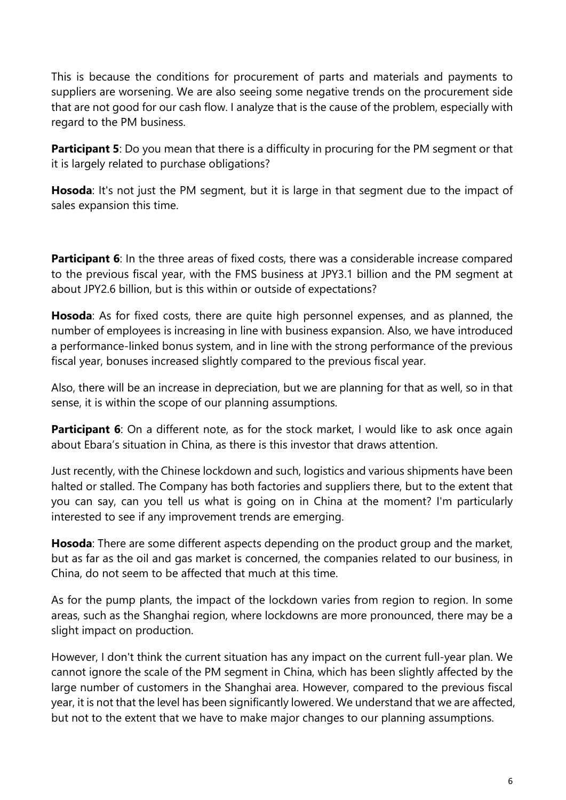This is because the conditions for procurement of parts and materials and payments to suppliers are worsening. We are also seeing some negative trends on the procurement side that are not good for our cash flow. I analyze that is the cause of the problem, especially with regard to the PM business.

**Participant 5**: Do you mean that there is a difficulty in procuring for the PM segment or that it is largely related to purchase obligations?

**Hosoda**: It's not just the PM segment, but it is large in that segment due to the impact of sales expansion this time.

**Participant 6**: In the three areas of fixed costs, there was a considerable increase compared to the previous fiscal year, with the FMS business at JPY3.1 billion and the PM segment at about JPY2.6 billion, but is this within or outside of expectations?

**Hosoda**: As for fixed costs, there are quite high personnel expenses, and as planned, the number of employees is increasing in line with business expansion. Also, we have introduced a performance-linked bonus system, and in line with the strong performance of the previous fiscal year, bonuses increased slightly compared to the previous fiscal year.

Also, there will be an increase in depreciation, but we are planning for that as well, so in that sense, it is within the scope of our planning assumptions.

**Participant 6**: On a different note, as for the stock market, I would like to ask once again about Ebara's situation in China, as there is this investor that draws attention.

Just recently, with the Chinese lockdown and such, logistics and various shipments have been halted or stalled. The Company has both factories and suppliers there, but to the extent that you can say, can you tell us what is going on in China at the moment? I'm particularly interested to see if any improvement trends are emerging.

**Hosoda**: There are some different aspects depending on the product group and the market, but as far as the oil and gas market is concerned, the companies related to our business, in China, do not seem to be affected that much at this time.

As for the pump plants, the impact of the lockdown varies from region to region. In some areas, such as the Shanghai region, where lockdowns are more pronounced, there may be a slight impact on production.

However, I don't think the current situation has any impact on the current full-year plan. We cannot ignore the scale of the PM segment in China, which has been slightly affected by the large number of customers in the Shanghai area. However, compared to the previous fiscal year, it is not that the level has been significantly lowered. We understand that we are affected, but not to the extent that we have to make major changes to our planning assumptions.